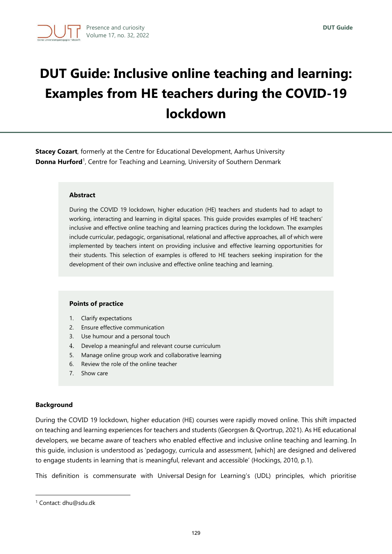# **DUT Guide: Inclusive online teaching and learning: Examples from HE teachers during the COVID-19 lockdown**

**Stacey Cozart**, formerly at the Centre for Educational Development, Aarhus University **Donna Hurford**<sup>1</sup>, Centre for Teaching and Learning, University of Southern Denmark

#### **Abstract**

During the COVID 19 lockdown, higher education (HE) teachers and students had to adapt to working, interacting and learning in digital spaces. This guide provides examples of HE teachers' inclusive and effective online teaching and learning practices during the lockdown. The examples include curricular, pedagogic, organisational, relational and affective approaches, all of which were implemented by teachers intent on providing inclusive and effective learning opportunities for their students. This selection of examples is offered to HE teachers seeking inspiration for the development of their own inclusive and effective online teaching and learning.

#### **Points of practice**

- 1. Clarify expectations
- 2. Ensure effective communication
- 3. Use humour and a personal touch
- 4. Develop a meaningful and relevant course curriculum
- 5. Manage online group work and collaborative learning
- 6. Review the role of the online teacher
- 7. Show care

# **Background**

During the COVID 19 lockdown, higher education (HE) courses were rapidly moved online. This shift impacted on teaching and learning experiences for teachers and students (Georgsen & Qvortrup, 2021). As HE educational developers, we became aware of teachers who enabled effective and inclusive online teaching and learning. In this guide, inclusion is understood as 'pedagogy, curricula and assessment, [which] are designed and delivered to engage students in learning that is meaningful, relevant and accessible' (Hockings, 2010, p.1).

This definition is commensurate with Universal Design for Learning's (UDL) principles, which prioritise

<sup>1</sup> Contact: dhu@sdu.dk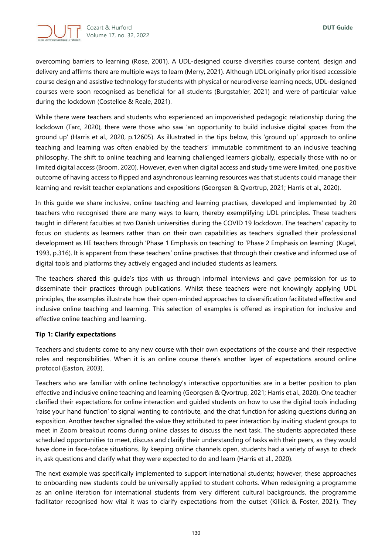

overcoming barriers to learning (Rose, 2001). A UDL-designed course diversifies course content, design and delivery and affirms there are multiple ways to learn (Merry, 2021). Although UDL originally prioritised accessible course design and assistive technology for students with physical or neurodiverse learning needs, UDL-designed courses were soon recognised as beneficial for all students (Burgstahler, 2021) and were of particular value during the lockdown (Costelloe & Reale, 2021).

While there were teachers and students who experienced an impoverished pedagogic relationship during the lockdown (Tarc, 2020), there were those who saw 'an opportunity to build inclusive digital spaces from the ground up' (Harris et al., 2020, p.12605). As illustrated in the tips below, this 'ground up' approach to online teaching and learning was often enabled by the teachers' immutable commitment to an inclusive teaching philosophy. The shift to online teaching and learning challenged learners globally, especially those with no or limited digital access (Broom, 2020). However, even when digital access and study time were limited, one positive outcome of having access to flipped and asynchronous learning resources was that students could manage their learning and revisit teacher explanations and expositions (Georgsen & Qvortrup, 2021; Harris et al., 2020).

In this guide we share inclusive, online teaching and learning practises, developed and implemented by 20 teachers who recognised there are many ways to learn, thereby exemplifying UDL principles. These teachers taught in different faculties at two Danish universities during the COVID 19 lockdown. The teachers' capacity to focus on students as learners rather than on their own capabilities as teachers signalled their professional development as HE teachers through 'Phase 1 Emphasis on teaching' to 'Phase 2 Emphasis on learning' (Kugel, 1993, p.316). It is apparent from these teachers' online practises that through their creative and informed use of digital tools and platforms they actively engaged and included students as learners.

The teachers shared this guide's tips with us through informal interviews and gave permission for us to disseminate their practices through publications. Whilst these teachers were not knowingly applying UDL principles, the examples illustrate how their open-minded approaches to diversification facilitated effective and inclusive online teaching and learning. This selection of examples is offered as inspiration for inclusive and effective online teaching and learning.

# **Tip 1: Clarify expectations**

Teachers and students come to any new course with their own expectations of the course and their respective roles and responsibilities. When it is an online course there's another layer of expectations around online protocol (Easton, 2003).

Teachers who are familiar with online technology's interactive opportunities are in a better position to plan effective and inclusive online teaching and learning (Georgsen & Qvortrup, 2021; Harris et al., 2020). One teacher clarified their expectations for online interaction and guided students on how to use the digital tools including 'raise your hand function' to signal wanting to contribute, and the chat function for asking questions during an exposition. Another teacher signalled the value they attributed to peer interaction by inviting student groups to meet in Zoom breakout rooms during online classes to discuss the next task. The students appreciated these scheduled opportunities to meet, discuss and clarify their understanding of tasks with their peers, as they would have done in face-toface situations. By keeping online channels open, students had a variety of ways to check in, ask questions and clarify what they were expected to do and learn (Harris et al., 2020).

The next example was specifically implemented to support international students; however, these approaches to onboarding new students could be universally applied to student cohorts. When redesigning a programme as an online iteration for international students from very different cultural backgrounds, the programme facilitator recognised how vital it was to clarify expectations from the outset (Killick & Foster, 2021). They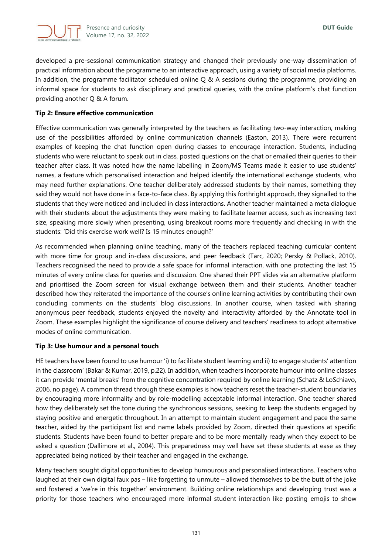

developed a pre-sessional communication strategy and changed their previously one-way dissemination of practical information about the programme to an interactive approach, using a variety of social media platforms. In addition, the programme facilitator scheduled online Q & A sessions during the programme, providing an informal space for students to ask disciplinary and practical queries, with the online platform's chat function providing another Q & A forum.

# **Tip 2: Ensure effective communication**

Effective communication was generally interpreted by the teachers as facilitating two-way interaction, making use of the possibilities afforded by online communication channels (Easton, 2013). There were recurrent examples of keeping the chat function open during classes to encourage interaction. Students, including students who were reluctant to speak out in class, posted questions on the chat or emailed their queries to their teacher after class. It was noted how the name labelling in Zoom/MS Teams made it easier to use students' names, a feature which personalised interaction and helped identify the international exchange students, who may need further explanations. One teacher deliberately addressed students by their names, something they said they would not have done in a face-to-face class. By applying this forthright approach, they signalled to the students that they were noticed and included in class interactions. Another teacher maintained a meta dialogue with their students about the adjustments they were making to facilitate learner access, such as increasing text size, speaking more slowly when presenting, using breakout rooms more frequently and checking in with the students: 'Did this exercise work well? Is 15 minutes enough?'

As recommended when planning online teaching, many of the teachers replaced teaching curricular content with more time for group and in-class discussions, and peer feedback (Tarc, 2020; Persky & Pollack, 2010). Teachers recognised the need to provide a safe space for informal interaction, with one protecting the last 15 minutes of every online class for queries and discussion. One shared their PPT slides via an alternative platform and prioritised the Zoom screen for visual exchange between them and their students. Another teacher described how they reiterated the importance of the course's online learning activities by contributing their own concluding comments on the students' blog discussions. In another course, when tasked with sharing anonymous peer feedback, students enjoyed the novelty and interactivity afforded by the Annotate tool in Zoom. These examples highlight the significance of course delivery and teachers' readiness to adopt alternative modes of online communication.

# **Tip 3: Use humour and a personal touch**

HE teachers have been found to use humour 'i) to facilitate student learning and ii) to engage students' attention in the classroom' (Bakar & Kumar, 2019, p.22). In addition, when teachers incorporate humour into online classes it can provide 'mental breaks' from the cognitive concentration required by online learning (Schatz & LoSchiavo, 2006, no page). A common thread through these examples is how teachers reset the teacher-student boundaries by encouraging more informality and by role-modelling acceptable informal interaction. One teacher shared how they deliberately set the tone during the synchronous sessions, seeking to keep the students engaged by staying positive and energetic throughout. In an attempt to maintain student engagement and pace the same teacher, aided by the participant list and name labels provided by Zoom, directed their questions at specific students. Students have been found to better prepare and to be more mentally ready when they expect to be asked a question (Dallimore et al., 2004). This preparedness may well have set these students at ease as they appreciated being noticed by their teacher and engaged in the exchange.

Many teachers sought digital opportunities to develop humourous and personalised interactions. Teachers who laughed at their own digital faux pas – like forgetting to unmute – allowed themselves to be the butt of the joke and fostered a 'we're in this together' environment. Building online relationships and developing trust was a priority for those teachers who encouraged more informal student interaction like posting emojis to show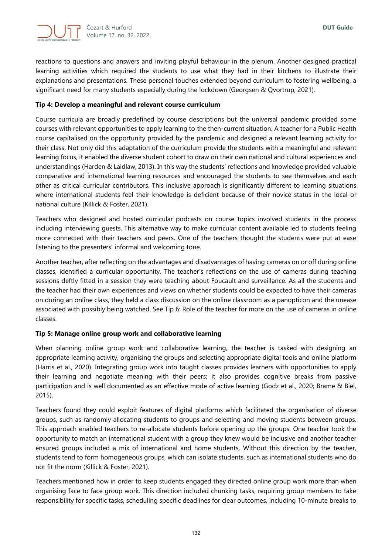

reactions to questions and answers and inviting playful behaviour in the plenum. Another designed practical learning activities which required the students to use what they had in their kitchens to illustrate their explanations and presentations. These personal touches extended beyond curriculum to fostering wellbeing, a significant need for many students especially during the lockdown (Georgsen & Qvortrup, 2021).

# **Tip 4: Develop a meaningful and relevant course curriculum**

Course curricula are broadly predefined by course descriptions but the universal pandemic provided some courses with relevant opportunities to apply learning to the then-current situation. A teacher for a Public Health course capitalised on the opportunity provided by the pandemic and designed a relevant learning activity for their class. Not only did this adaptation of the curriculum provide the students with a meaningful and relevant learning focus, it enabled the diverse student cohort to draw on their own national and cultural experiences and understandings (Harden & Laidlaw, 2013). In this way the students' reflections and knowledge provided valuable comparative and international learning resources and encouraged the students to see themselves and each other as critical curricular contributors. This inclusive approach is significantly different to learning situations where international students feel their knowledge is deficient because of their novice status in the local or national culture (Killick & Foster, 2021).

Teachers who designed and hosted curricular podcasts on course topics involved students in the process including interviewing guests. This alternative way to make curricular content available led to students feeling more connected with their teachers and peers. One of the teachers thought the students were put at ease listening to the presenters' informal and welcoming tone.

Another teacher, after reflecting on the advantages and disadvantages of having cameras on or off during online classes, identified a curricular opportunity. The teacher's reflections on the use of cameras during teaching sessions deftly fitted in a session they were teaching about Foucault and surveillance. As all the students and the teacher had their own experiences and views on whether students could be expected to have their cameras on during an online class, they held a class discussion on the online classroom as a panopticon and the unease associated with possibly being watched. See Tip 6: Role of the teacher for more on the use of cameras in online classes.

# **Tip 5: Manage online group work and collaborative learning**

When planning online group work and collaborative learning, the teacher is tasked with designing an appropriate learning activity, organising the groups and selecting appropriate digital tools and online platform (Harris et al., 2020). Integrating group work into taught classes provides learners with opportunities to apply their learning and negotiate meaning with their peers; it also provides cognitive breaks from passive participation and is well documented as an effective mode of active learning (Godz et al., 2020; Brame & Biel, 2015).

Teachers found they could exploit features of digital platforms which facilitated the organisation of diverse groups, such as randomly allocating students to groups and selecting and moving students between groups. This approach enabled teachers to re-allocate students before opening up the groups. One teacher took the opportunity to match an international student with a group they knew would be inclusive and another teacher ensured groups included a mix of international and home students. Without this direction by the teacher, students tend to form homogeneous groups, which can isolate students, such as international students who do not fit the norm (Killick & Foster, 2021).

Teachers mentioned how in order to keep students engaged they directed online group work more than when organising face to face group work. This direction included chunking tasks, requiring group members to take responsibility for specific tasks, scheduling specific deadlines for clear outcomes, including 10-minute breaks to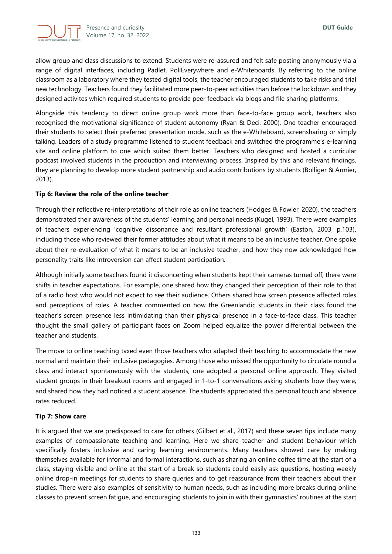

allow group and class discussions to extend. Students were re-assured and felt safe posting anonymously via a range of digital interfaces, including Padlet, PollEverywhere and e-Whiteboards. By referring to the online classroom as a laboratory where they tested digital tools, the teacher encouraged students to take risks and trial new technology. Teachers found they facilitated more peer-to-peer activities than before the lockdown and they designed activites which required students to provide peer feedback via blogs and file sharing platforms.

Alongside this tendency to direct online group work more than face-to-face group work, teachers also recognised the motivational significance of student autonomy (Ryan & Deci, 2000). One teacher encouraged their students to select their preferred presentation mode, such as the e-Whiteboard, screensharing or simply talking. Leaders of a study programme listened to student feedback and switched the programme's e-learning site and online platform to one which suited them better. Teachers who designed and hosted a curricular podcast involved students in the production and interviewing process. Inspired by this and relevant findings, they are planning to develop more student partnership and audio contributions by students (Bolliger & Armier, 2013).

# **Tip 6: Review the role of the online teacher**

Through their reflective re-interpretations of their role as online teachers (Hodges & Fowler, 2020), the teachers demonstrated their awareness of the students' learning and personal needs (Kugel, 1993). There were examples of teachers experiencing 'cognitive dissonance and resultant professional growth' (Easton, 2003, p.103), including those who reviewed their former attitudes about what it means to be an inclusive teacher. One spoke about their re-evaluation of what it means to be an inclusive teacher, and how they now acknowledged how personality traits like introversion can affect student participation.

Although initially some teachers found it disconcerting when students kept their cameras turned off, there were shifts in teacher expectations. For example, one shared how they changed their perception of their role to that of a radio host who would not expect to see their audience. Others shared how screen presence affected roles and perceptions of roles. A teacher commented on how the Greenlandic students in their class found the teacher's screen presence less intimidating than their physical presence in a face-to-face class. This teacher thought the small gallery of participant faces on Zoom helped equalize the power differential between the teacher and students.

The move to online teaching taxed even those teachers who adapted their teaching to accommodate the new normal and maintain their inclusive pedagogies. Among those who missed the opportunity to circulate round a class and interact spontaneously with the students, one adopted a personal online approach. They visited student groups in their breakout rooms and engaged in 1-to-1 conversations asking students how they were, and shared how they had noticed a student absence. The students appreciated this personal touch and absence rates reduced.

# **Tip 7: Show care**

It is argued that we are predisposed to care for others (Gilbert et al., 2017) and these seven tips include many examples of compassionate teaching and learning. Here we share teacher and student behaviour which specifically fosters inclusive and caring learning environments. Many teachers showed care by making themselves available for informal and formal interactions, such as sharing an online coffee time at the start of a class, staying visible and online at the start of a break so students could easily ask questions, hosting weekly online drop-in meetings for students to share queries and to get reassurance from their teachers about their studies. There were also examples of sensitivity to human needs, such as including more breaks during online classes to prevent screen fatigue, and encouraging students to join in with their gymnastics' routines at the start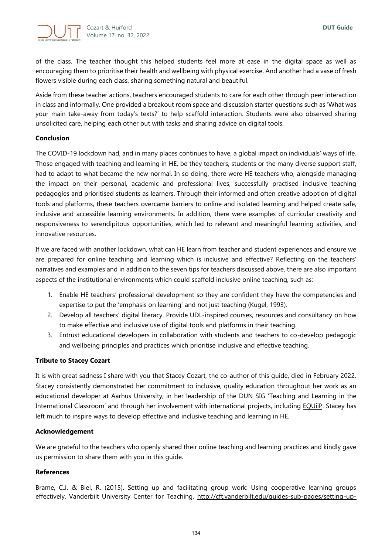

of the class. The teacher thought this helped students feel more at ease in the digital space as well as encouraging them to prioritise their health and wellbeing with physical exercise. And another had a vase of fresh flowers visible during each class, sharing something natural and beautiful.

Aside from these teacher actions, teachers encouraged students to care for each other through peer interaction in class and informally. One provided a breakout room space and discussion starter questions such as 'What was your main take-away from today's texts?' to help scaffold interaction. Students were also observed sharing unsolicited care, helping each other out with tasks and sharing advice on digital tools.

# **Conclusion**

The COVID-19 lockdown had, and in many places continues to have, a global impact on individuals' ways of life. Those engaged with teaching and learning in HE, be they teachers, students or the many diverse support staff, had to adapt to what became the new normal. In so doing, there were HE teachers who, alongside managing the impact on their personal, academic and professional lives, successfully practised inclusive teaching pedagogies and prioritised students as learners. Through their informed and often creative adoption of digital tools and platforms, these teachers overcame barriers to online and isolated learning and helped create safe, inclusive and accessible learning environments. In addition, there were examples of curricular creativity and responsiveness to serendipitous opportunities, which led to relevant and meaningful learning activities, and innovative resources.

If we are faced with another lockdown, what can HE learn from teacher and student experiences and ensure we are prepared for online teaching and learning which is inclusive and effective? Reflecting on the teachers' narratives and examples and in addition to the seven tips for teachers discussed above, there are also important aspects of the institutional environments which could scaffold inclusive online teaching, such as:

- 1. Enable HE teachers' professional development so they are confident they have the competencies and expertise to put the 'emphasis on learning' and not just teaching (Kugel, 1993).
- 2. Develop all teachers' digital literacy. Provide UDL-inspired courses, resources and consultancy on how to make effective and inclusive use of digital tools and platforms in their teaching.
- 3. Entrust educational developers in collaboration with students and teachers to co-develop pedagogic and wellbeing principles and practices which prioritise inclusive and effective teaching.

# **Tribute to Stacey Cozart**

It is with great sadness I share with you that Stacey Cozart, the co-author of this guide, died in February 2022. Stacey consistently demonstrated her commitment to inclusive, quality education throughout her work as an educational developer at Aarhus University, in her leadership of the DUN SIG 'Teaching and Learning in the International Classroom' and through her involvement with international projects, includin[g EQUiiP.](https://equiip.eu/) Stacey has left much to inspire ways to develop effective and inclusive teaching and learning in HE.

# **Acknowledgement**

We are grateful to the teachers who openly shared their online teaching and learning practices and kindly gave us permission to share them with you in this guide.

# **References**

Brame, C.J. & Biel, R. (2015). Setting up and facilitating group work: Using cooperative learning groups effectively. Vanderbilt University Center for Teaching. [http://cft.vanderbilt.edu/guides-sub-pages/setting-up-](http://cft.vanderbilt.edu/guides-sub-pages/setting-up-and-facilitating-group-work-using-cooperative-learning-groups-effectively/)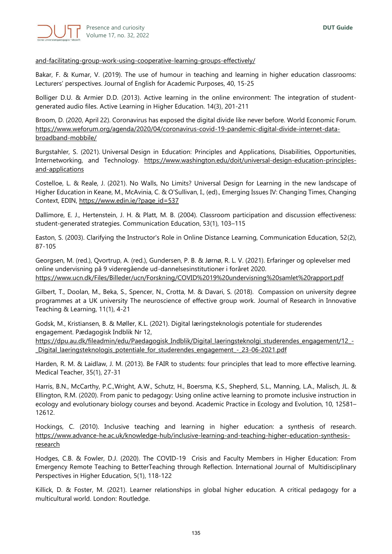

#### [and-facilitating-group-work-using-cooperative-learning-groups-effectively/](http://cft.vanderbilt.edu/guides-sub-pages/setting-up-and-facilitating-group-work-using-cooperative-learning-groups-effectively/)

Bakar, F. & Kumar, V. (2019). The use of humour in teaching and learning in higher education classrooms: Lecturers' perspectives. Journal of English for Academic Purposes, 40, 15-25

Bolliger D.U. & Armier D.D. (2013). Active learning in the online environment: The integration of studentgenerated audio files. Active Learning in Higher Education. 14(3), 201-211

Broom, D. (2020, April 22). Coronavirus has exposed the digital divide like never before. World Economic Forum. [https://www.weforum.org/agenda/2020/04/coronavirus-covid-19-pandemic-digital-divide-internet-data](https://www.weforum.org/agenda/2020/04/coronavirus-covid-19-pandemic-digital-divide-internet-data-broadband-mobbile/)[broadband-mobbile/](https://www.weforum.org/agenda/2020/04/coronavirus-covid-19-pandemic-digital-divide-internet-data-broadband-mobbile/)

Burgstahler, S. (2021). Universal Design in Education: Principles and Applications, Disabilities, Opportunities, Internetworking, and Technology. [https://www.washington.edu/doit/universal-design-education-principles](https://www.washington.edu/doit/universal-design-education-principles-and-applications)[and-applications](https://www.washington.edu/doit/universal-design-education-principles-and-applications)

Costelloe, L. & Reale, J. (2021). No Walls, No Limits? Universal Design for Learning in the new landscape of Higher Education in Keane, M., McAvinia, C. & O'Sullivan, I., (ed)., Emerging Issues IV: Changing Times, Changing Context, EDIN, [https://www.edin.ie/?page\\_id=537](https://www.edin.ie/?page_id=537)

Dallimore, E. J., Hertenstein, J. H. & Platt, M. B. (2004). Classroom participation and discussion effectiveness: student-generated strategies. Communication Education, 53(1), 103–115

Easton, S. (2003). Clarifying the Instructor's Role in Online Distance Learning, Communication Education, 52(2), 87-105

Georgsen, M. (red.), Qvortrup, A. (red.), Gundersen, P. B. & Jørnø, R. L. V. (2021). Erfaringer og oplevelser med online undervisning på 9 videregående ud-dannelsesinstitutioner i foråret 2020. <https://www.ucn.dk/Files/Billeder/ucn/Forskning/COVID%2019%20undervisning%20samlet%20rapport.pdf>

Gilbert, T., Doolan, M., Beka, S., Spencer, N., Crotta, M. & Davari, S. (2018). Compassion on university degree programmes at a UK university The neuroscience of effective group work. Journal of Research in Innovative Teaching & Learning, 11(1), 4-21

Godsk, M., Kristiansen, B. & Møller, K.L. (2021). Digital læringsteknologis potentiale for studerendes engagement. Pædagogisk Indblik Nr 12,

[https://dpu.au.dk/fileadmin/edu/Paedagogisk\\_Indblik/Digital\\_laeringsteknolgi\\_studerendes\\_engagement/12\\_-](https://dpu.au.dk/fileadmin/edu/Paedagogisk_Indblik/Digital_laeringsteknolgi_studerendes_engagement/12_-_Digital_laeringsteknologis_potentiale_for_studerendes_engagement_-_23-06-2021.pdf) [\\_Digital\\_laeringsteknologis\\_potentiale\\_for\\_studerendes\\_engagement\\_-\\_23-06-2021.pdf](https://dpu.au.dk/fileadmin/edu/Paedagogisk_Indblik/Digital_laeringsteknolgi_studerendes_engagement/12_-_Digital_laeringsteknologis_potentiale_for_studerendes_engagement_-_23-06-2021.pdf)

Harden, R. M. & Laidlaw, J. M. (2013). Be FAIR to students: four principles that lead to more effective learning. Medical Teacher, 35(1), 27-31

Harris, B.N., McCarthy, P.C.,Wright, A.W., Schutz, H., Boersma, K.S., Shepherd, S.L., Manning, L.A., Malisch, JL. & Ellington, R.M. (2020). From panic to pedagogy: Using online active learning to promote inclusive instruction in ecology and evolutionary biology courses and beyond. Academic Practice in Ecology and Evolution, 10, 12581– 12612.

Hockings, C. (2010). Inclusive teaching and learning in higher education: a synthesis of research. [https://www.advance-he.ac.uk/knowledge-hub/inclusive-learning-and-teaching-higher-education-synthesis](https://www.advance-he.ac.uk/knowledge-hub/inclusive-learning-and-teaching-higher-education-synthesis-research)[research](https://www.advance-he.ac.uk/knowledge-hub/inclusive-learning-and-teaching-higher-education-synthesis-research)

Hodges, C.B. & Fowler, D.J. (2020). The COVID-19 Crisis and Faculty Members in Higher Education: From Emergency Remote Teaching to BetterTeaching through Reflection. International Journal of Multidisciplinary Perspectives in Higher Education, 5(1), 118-122

Killick, D. & Foster, M. (2021). Learner relationships in global higher education. A critical pedagogy for a multicultural world. London: Routledge.